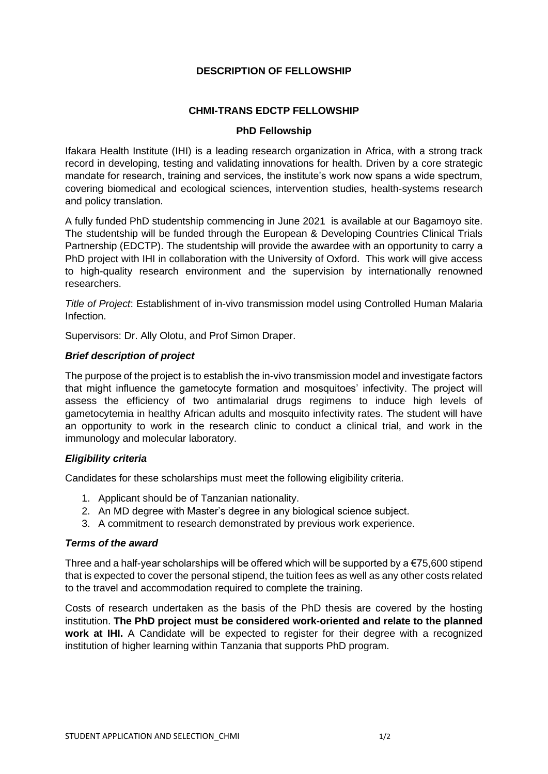## **DESCRIPTION OF FELLOWSHIP**

## **CHMI-TRANS EDCTP FELLOWSHIP**

### **PhD Fellowship**

Ifakara Health Institute (IHI) is a leading research organization in Africa, with a strong track record in developing, testing and validating innovations for health. Driven by a core strategic mandate for research, training and services, the institute's work now spans a wide spectrum, covering biomedical and ecological sciences, intervention studies, health-systems research and policy translation.

A fully funded PhD studentship commencing in June 2021 is available at our Bagamoyo site. The studentship will be funded through the European & Developing Countries Clinical Trials Partnership (EDCTP). The studentship will provide the awardee with an opportunity to carry a PhD project with IHI in collaboration with the University of Oxford. This work will give access to high-quality research environment and the supervision by internationally renowned researchers.

*Title of Project*: Establishment of in-vivo transmission model using Controlled Human Malaria Infection.

Supervisors: Dr. Ally Olotu, and Prof Simon Draper.

## *Brief description of project*

The purpose of the project is to establish the in-vivo transmission model and investigate factors that might influence the gametocyte formation and mosquitoes' infectivity. The project will assess the efficiency of two antimalarial drugs regimens to induce high levels of gametocytemia in healthy African adults and mosquito infectivity rates. The student will have an opportunity to work in the research clinic to conduct a clinical trial, and work in the immunology and molecular laboratory.

## *Eligibility criteria*

Candidates for these scholarships must meet the following eligibility criteria.

- 1. Applicant should be of Tanzanian nationality.
- 2. An MD degree with Master's degree in any biological science subject.
- 3. A commitment to research demonstrated by previous work experience.

#### *Terms of the award*

Three and a half-year scholarships will be offered which will be supported by a  $\epsilon$ 75,600 stipend that is expected to cover the personal stipend, the tuition fees as well as any other costs related to the travel and accommodation required to complete the training.

Costs of research undertaken as the basis of the PhD thesis are covered by the hosting institution. **The PhD project must be considered work-oriented and relate to the planned work at IHI.** A Candidate will be expected to register for their degree with a recognized institution of higher learning within Tanzania that supports PhD program.